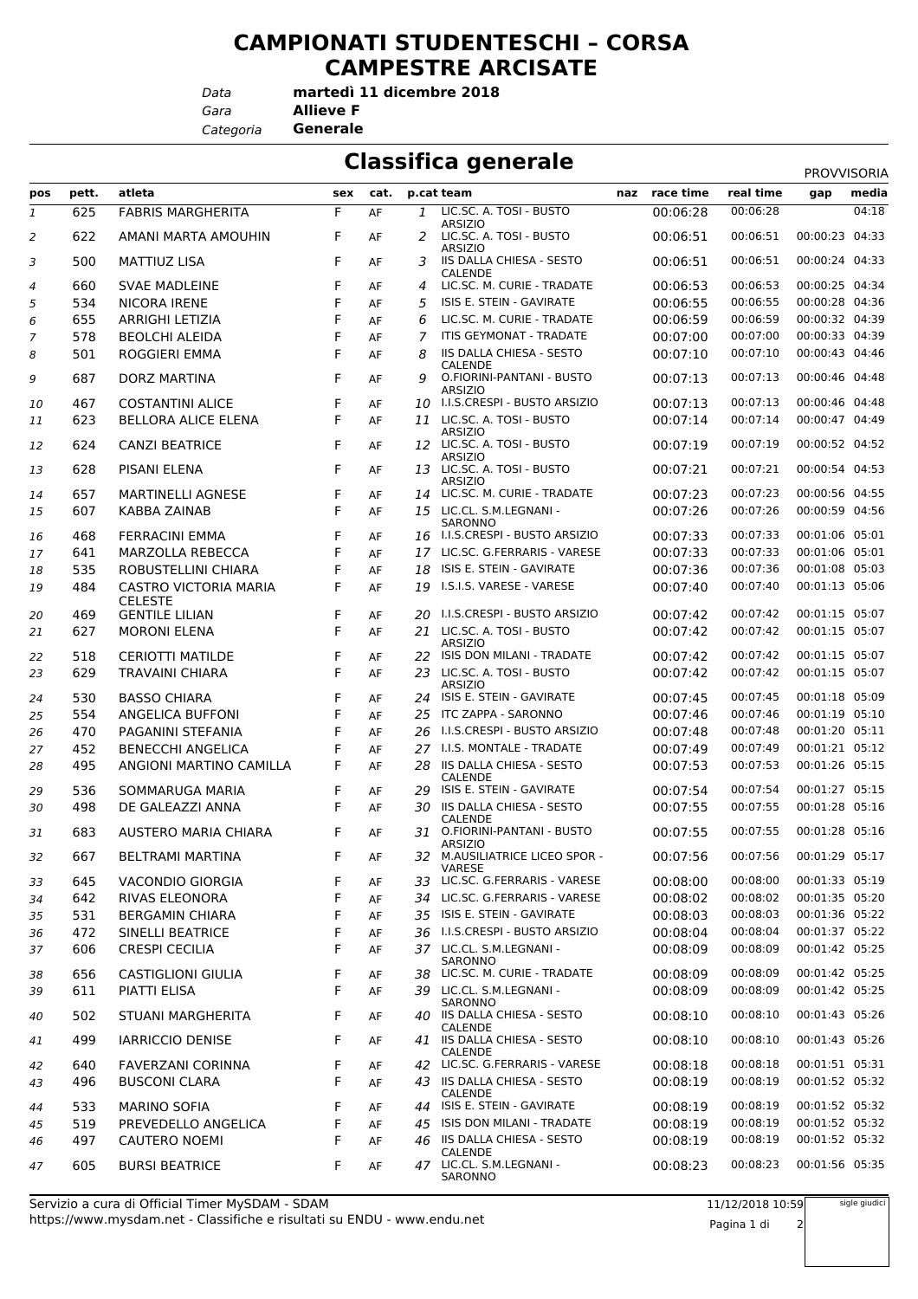## **CAMPIONATI STUDENTESCHI – CORSA CAMPESTRE ARCISATE**

*Data*

*Gara* **Allieve F martedì 11 dicembre 2018**

*Categoria* **Generale**

## **Classifica generale**

|              |       |                                                |     |      |     |                                                   |               |           | <b>PROVVISORIA</b> |       |
|--------------|-------|------------------------------------------------|-----|------|-----|---------------------------------------------------|---------------|-----------|--------------------|-------|
| pos          | pett. | atleta                                         | sex | cat. |     | p.cat team                                        | naz race time | real time | gap                | media |
| $\mathbf{1}$ | 625   | <b>FABRIS MARGHERITA</b>                       | F   | AF   | 1   | LIC.SC. A. TOSI - BUSTO<br><b>ARSIZIO</b>         | 00:06:28      | 00:06:28  |                    | 04:18 |
| 2            | 622   | AMANI MARTA AMOUHIN                            | F   | AF   | 2   | LIC.SC. A. TOSI - BUSTO<br><b>ARSIZIO</b>         | 00:06:51      | 00:06:51  | 00:00:23 04:33     |       |
| 3            | 500   | MATTIUZ LISA                                   | F   | AF   | 3   | <b>IIS DALLA CHIESA - SESTO</b><br><b>CALENDE</b> | 00:06:51      | 00:06:51  | 00:00:24 04:33     |       |
| 4            | 660   | <b>SVAE MADLEINE</b>                           | F   | AF   | 4   | LIC.SC. M. CURIE - TRADATE                        | 00:06:53      | 00:06:53  | 00:00:25 04:34     |       |
| 5            | 534   | <b>NICORA IRENE</b>                            | F   | AF   | 5   | ISIS E. STEIN - GAVIRATE                          | 00:06:55      | 00:06:55  | 00:00:28 04:36     |       |
| 6            | 655   | <b>ARRIGHI LETIZIA</b>                         | F   | AF   | 6   | LIC.SC. M. CURIE - TRADATE                        | 00:06:59      | 00:06:59  | 00:00:32 04:39     |       |
| 7            | 578   | <b>BEOLCHI ALEIDA</b>                          | F   | AF   | 7   | <b>ITIS GEYMONAT - TRADATE</b>                    | 00:07:00      | 00:07:00  | 00:00:33 04:39     |       |
| 8            | 501   | <b>ROGGIERI EMMA</b>                           | F   | AF   | 8   | IIS DALLA CHIESA - SESTO<br><b>CALENDE</b>        | 00:07:10      | 00:07:10  | 00:00:43 04:46     |       |
| 9            | 687   | <b>DORZ MARTINA</b>                            | F   | AF   | 9   | O.FIORINI-PANTANI - BUSTO<br><b>ARSIZIO</b>       | 00:07:13      | 00:07:13  | 00:00:46 04:48     |       |
| 10           | 467   | <b>COSTANTINI ALICE</b>                        | F   | AF   |     | 10 I.I.S.CRESPI - BUSTO ARSIZIO                   | 00:07:13      | 00:07:13  | 00:00:46 04:48     |       |
| 11           | 623   | <b>BELLORA ALICE ELENA</b>                     | F   | AF   |     | 11 LIC.SC. A. TOSI - BUSTO<br><b>ARSIZIO</b>      | 00:07:14      | 00:07:14  | 00:00:47 04:49     |       |
| 12           | 624   | <b>CANZI BEATRICE</b>                          | F   | AF   |     | 12 LIC.SC. A. TOSI - BUSTO<br><b>ARSIZIO</b>      | 00:07:19      | 00:07:19  | 00:00:52 04:52     |       |
| 13           | 628   | PISANI ELENA                                   | F   | AF   |     | 13 LIC.SC. A. TOSI - BUSTO<br><b>ARSIZIO</b>      | 00:07:21      | 00:07:21  | 00:00:54 04:53     |       |
| 14           | 657   | <b>MARTINELLI AGNESE</b>                       | F   | AF   |     | 14 LIC.SC. M. CURIE - TRADATE                     | 00:07:23      | 00:07:23  | 00:00:56 04:55     |       |
| 15           | 607   | <b>KABBA ZAINAB</b>                            | F   | AF   |     | 15 LIC.CL. S.M.LEGNANI -<br>SARONNO               | 00:07:26      | 00:07:26  | 00:00:59 04:56     |       |
| 16           | 468   | <b>FERRACINI EMMA</b>                          | F   | AF   |     | 16 I.I.S.CRESPI - BUSTO ARSIZIO                   | 00:07:33      | 00:07:33  | 00:01:06 05:01     |       |
| 17           | 641   | MARZOLLA REBECCA                               | F   | AF   |     | 17 LIC.SC. G.FERRARIS - VARESE                    | 00:07:33      | 00:07:33  | 00:01:06 05:01     |       |
| 18           | 535   | ROBUSTELLINI CHIARA                            | F   | AF   | 18  | ISIS E. STEIN - GAVIRATE                          | 00:07:36      | 00:07:36  | 00:01:08 05:03     |       |
| 19           | 484   | <b>CASTRO VICTORIA MARIA</b><br><b>CELESTE</b> | F   | AF   | 19  | I.S.I.S. VARESE - VARESE                          | 00:07:40      | 00:07:40  | 00:01:13 05:06     |       |
| 20           | 469   | <b>GENTILE LILIAN</b>                          | F   | AF   |     | 20 I.I.S.CRESPI - BUSTO ARSIZIO                   | 00:07:42      | 00:07:42  | 00:01:15 05:07     |       |
| 21           | 627   | <b>MORONI ELENA</b>                            | F   | AF   |     | 21 LIC.SC. A. TOSI - BUSTO<br><b>ARSIZIO</b>      | 00:07:42      | 00:07:42  | 00:01:15 05:07     |       |
| 22           | 518   | <b>CERIOTTI MATILDE</b>                        | F   | AF   |     | 22 ISIS DON MILANI - TRADATE                      | 00:07:42      | 00:07:42  | 00:01:15 05:07     |       |
| 23           | 629   | <b>TRAVAINI CHIARA</b>                         | F   | AF   |     | 23 LIC.SC. A. TOSI - BUSTO<br><b>ARSIZIO</b>      | 00:07:42      | 00:07:42  | 00:01:15 05:07     |       |
| 24           | 530   | <b>BASSO CHIARA</b>                            | F   | AF   |     | 24 ISIS E. STEIN - GAVIRATE                       | 00:07:45      | 00:07:45  | 00:01:18 05:09     |       |
| 25           | 554   | <b>ANGELICA BUFFONI</b>                        | F   | AF   |     | 25 ITC ZAPPA - SARONNO                            | 00:07:46      | 00:07:46  | 00:01:19 05:10     |       |
| 26           | 470   | PAGANINI STEFANIA                              | F   | AF   |     | 26 I.I.S.CRESPI - BUSTO ARSIZIO                   | 00:07:48      | 00:07:48  | 00:01:20 05:11     |       |
| 27           | 452   | <b>BENECCHI ANGELICA</b>                       | F   | AF   |     | 27 I.I.S. MONTALE - TRADATE                       | 00:07:49      | 00:07:49  | 00:01:21 05:12     |       |
| 28           | 495   | ANGIONI MARTINO CAMILLA                        | F   | AF   | 28  | IIS DALLA CHIESA - SESTO<br>CALENDE               | 00:07:53      | 00:07:53  | 00:01:26 05:15     |       |
| 29           | 536   | SOMMARUGA MARIA                                | F   | AF   | 29  | ISIS E. STEIN - GAVIRATE                          | 00:07:54      | 00:07:54  | 00:01:27 05:15     |       |
| 30           | 498   | DE GALEAZZI ANNA                               | F   | AF   | 30. | <b>IIS DALLA CHIESA - SESTO</b><br>CALENDE        | 00:07:55      | 00:07:55  | 00:01:28 05:16     |       |
| 31           | 683   | AUSTERO MARIA CHIARA                           | F   | AF   |     | 31 O.FIORINI-PANTANI - BUSTO<br><b>ARSIZIO</b>    | 00:07:55      | 00:07:55  | 00:01:28 05:16     |       |
| 32           | 667   | BELTRAMI MARTINA                               | F   | AF   |     | 32 M.AUSILIATRICE LICEO SPOR -<br><b>VARESE</b>   | 00:07:56      | 00:07:56  | 00:01:29 05:17     |       |
| 33           | 645   | VACONDIO GIORGIA                               | F   | AF   |     | 33 LIC.SC. G.FERRARIS - VARESE                    | 00:08:00      | 00:08:00  | 00:01:33 05:19     |       |
| 34           | 642   | RIVAS ELEONORA                                 | F   | AF   |     | 34 LIC.SC. G.FERRARIS - VARESE                    | 00:08:02      | 00:08:02  | 00:01:35 05:20     |       |
| 35           | 531   | <b>BERGAMIN CHIARA</b>                         | F   | AF   |     | 35 ISIS E. STEIN - GAVIRATE                       | 00:08:03      | 00:08:03  | 00:01:36 05:22     |       |
| 36           | 472   | <b>SINELLI BEATRICE</b>                        | F   | AF   |     | 36 I.I.S.CRESPI - BUSTO ARSIZIO                   | 00:08:04      | 00:08:04  | 00:01:37 05:22     |       |
| 37           | 606   | <b>CRESPI CECILIA</b>                          | F   | AF   |     | 37 LIC.CL. S.M.LEGNANI -<br>SARONNO               | 00:08:09      | 00:08:09  | 00:01:42 05:25     |       |
| 38           | 656   | <b>CASTIGLIONI GIULIA</b>                      | F   | AF   |     | 38 LIC.SC. M. CURIE - TRADATE                     | 00:08:09      | 00:08:09  | 00:01:42 05:25     |       |
| 39           | 611   | PIATTI ELISA                                   | F   | AF   |     | 39 LIC.CL. S.M.LEGNANI -<br>SARONNO               | 00:08:09      | 00:08:09  | 00:01:42 05:25     |       |
| 40           | 502   | <b>STUANI MARGHERITA</b>                       | F   | AF   |     | 40 IIS DALLA CHIESA - SESTO<br><b>CALENDE</b>     | 00:08:10      | 00:08:10  | 00:01:43 05:26     |       |
| 41           | 499   | <b>IARRICCIO DENISE</b>                        | F   | AF   |     | 41 IIS DALLA CHIESA - SESTO<br>CALENDE            | 00:08:10      | 00:08:10  | 00:01:43 05:26     |       |
| 42           | 640   | FAVERZANI CORINNA                              | F   | AF   |     | 42 LIC.SC. G.FERRARIS - VARESE                    | 00:08:18      | 00:08:18  | 00:01:51 05:31     |       |
| 43           | 496   | <b>BUSCONI CLARA</b>                           | F   | AF   |     | 43 IIS DALLA CHIESA - SESTO<br>CALENDE            | 00:08:19      | 00:08:19  | 00:01:52 05:32     |       |
| 44           | 533   | <b>MARINO SOFIA</b>                            | F   | AF   |     | 44 ISIS E. STEIN - GAVIRATE                       | 00:08:19      | 00:08:19  | 00:01:52 05:32     |       |
| 45           | 519   | PREVEDELLO ANGELICA                            | F   | AF   |     | 45 ISIS DON MILANI - TRADATE                      | 00:08:19      | 00:08:19  | 00:01:52 05:32     |       |
| 46           | 497   | <b>CAUTERO NOEMI</b>                           | F   | AF   |     | 46 IIS DALLA CHIESA - SESTO                       | 00:08:19      | 00:08:19  | 00:01:52 05:32     |       |
| 47           | 605   | <b>BURSI BEATRICE</b>                          | F   | AF   |     | CALENDE<br>47 LIC.CL. S.M.LEGNANI -<br>SARONNO    | 00:08:23      | 00:08:23  | 00:01:56 05:35     |       |

11/12/2018 10:59

sigle giudici